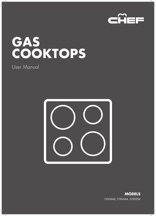

# **GAS COOKTOPS**

### User Manual



**MODELS** CHG642, CHG644, CHG954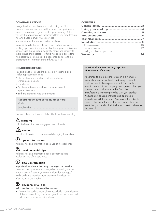### **CONGRATULATIONS**

Congratulations and thank you for choosing our Gas Cooktop. We are sure you will find your new appliance a pleasure to use and a great asset to your cooking. Before you use the appliance, we recommend that you read through the whole user manual which provides

a description of the product and its functions.

To avoid the risks that are always present when you use a cooking appliance, it is important that the appliance is installed correctly and that you read the safety instructions carefully to avoid misuse and hazards. For future reference, please store this booklet in a safe place. This appliance complies to the requirements of Australian Standard AS5263.1.1

### **CONDITIONS OF USE**

This appliance is intended to be used in household and similar applications such as:

- Staff kitchen areas in shops, offices and other working environments
- Farm houses
- By clients in hotels, motels and other residential type environments
- Bed and breakfast type environments

### **Record model and serial number here:**

Model:.................................................................. Serial number:........................................................

The symbols you will see in this booklet have these meanings:

### **warning**

Indicates information concerning your personal safety

### $\sqrt{\frac{1}{2}}$  caution

Indicates information on how to avoid damaging the appliance

### **tips & information**

Indicates tips and information about use of the appliance

### **environmental tips**

Indicates tips and information about economical and ecological use of the appliance

### **tips & information**

**Important – check for any damage or marks**

If you find the appliance is damaged or marked, you must report it within 7 days if you wish to claim for damage/ marks under the manufacturer's warranty. This does not affect your statutory rights.

### **Example 12** environmental tips **Information on disposal for users**

• Most of the packing materials are recyclable. Please dispose of those materials by contacting your local authorities and ask for the correct method of disposal.

### **CONTENTS**

### Important information that may impact your Manufacturer's Warranty

Adherence to the directions for use in this manual is extremely important for health and safety. Failure to strictly adhere to the requirements in this manual may result in personal injury, property damage and affect your ability to make a claim under the Electrolux manufacturer's warranty provided with your product. Products must be used, installed and operated in accordance with this manual. You may not be able to claim on the Electrolux manufacturer's warranty in the event that your product fault is due to failure to adhere to this manual.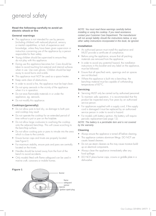## <span id="page-2-0"></span>general safety

### **Read the following carefully to avoid an electric shock or fire**

### **General warnings**

- This appliance is not intended for use by persons (including children) with reduced physical, sensory or mental capabilities, or lack of experience and knowledge, unless they have been given supervision or instruction concerning use of the appliance by a person responsible for their safety.
- Young children should be supervised to ensure they do not play with this appliance.
- During use this appliance becomes hot. Care should be taken to avoid touching hot external and internal surfaces when in use. Use oven gloves. Children should be kept away to avoid burns and scalds.
- This appliance must NOT be used as a space heater.
- Keep vents clear of obstructions.
- In order to avoid a fire, the appliance must be kept clean.
- Do not spray aerosols in the vicinity of the appliance when it is in operation.
- Do not store flammable materials in or under the appliance, eg. aerosols.
- Do not modify this appliance.

### **Cooktops (generally)**

- Do not allow pots to boil dry, as damage to both pan and cooktop may result.
- Do not operate the cooktop for an extended period of time without a pot or pan on the hotplate.
- Do not allow large cookware to overhang the cooktop onto the adjacent benchtop. This will cause scorching to the benchtop surface.
- Do not allow cooking pots or pans to intrude into the area which is close to the controls.
- Ensure burner caps and trivets are properly located. (see Figure1)
- For maximum stability, ensure pots and pans are centrally located on the trivets.
- Handles should be turned away from the front of the bench to avoid accidents.
- Only models fitted with flame safeguard can be used in marine craft, caravans or mobile homes.

### **Figure 1**



*NOTE: You must read these warnings carefully before installing or using the cooktop. If you need assistance, contact your Customer Care Department. The manufacturer will not accept liability should the instructions below, or any other safety instructions incorporated in this book, be ignored.*

### **Installation**

- An authorised person must install this appliance and MUST provide a certificate of compliance.
- Before using the appliance, ensure that all packing materials are removed from the appliance.
- In order to avoid any potential hazard, the installation instructions in this booklet and any label on the appliance, must be followed.
- Ensure that all specified vents, openings and air spaces are not blocked.
- Where the appliance is built into a benchtop, the benchtop material must be capable of withstanding temperatures of 85°C.

### **Servicing**

- Servicing MUST only be carried out by authorised personnel.
- To maintain safe operation, it is recommended that the product be inspected every five years by an authorised service person.
- For appliances supplied with a supply cord, if the supply cord is damaged it must be replaced by an authorised service person in order to avoid a hazard.
- For models with battery ignition, the battery will require periodic replacement (see page 12).

### *NOTE: The battery is a perishable item and is not covered by the warranty.*

### **Cleaning**

- Always ensure the appliance is turned off before cleaning.
- This appliance contains aluminium fittings. DO NOT use caustic based cleaners.
- Do not use steam cleaners as this may cause moisture buildup on electrical components.
- Always clean the appliance immediately after any food spillage.
- DO NOT place burner caps, crowns or griddle plate in a dishwasher.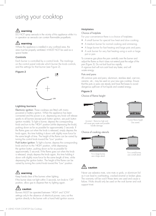### <span id="page-3-0"></span>using your cooktop

### $\sqrt{\underline{N}}$  warning

DO NOT spray aerosols in the vicinity of this appliance while it is in operation as aerosols can contain flammable propellants.

### **warning**

Where the appliance is installed in any confined area, the area must be properly ventilated. It MUST NOT be used as a space heater.

### **Controls**

Each burner is controlled by a control knob. The markings on the control panel indicate which burner the knob controls, and the settings for that burner (see Figure 2).

### **Figure 2**



### **Lighting burners**

Electronic ignition: These cooktops are fitted with mains powered or battery ignition. When the appliance has been connected and the power is on, depressing any knob will release sparks to all burners (except push button ignition, see push button ignition models). To light a burner, depress the corresponding knob and turn to the 'HIGH' position (while depressing the knob), pushing down as far as possible for approximately 5 seconds. If the flame goes out when the knob is released, simply depress the knob again, this time holding it down with slightly more force for the same length of time. The height of the flame can be varied by turning the control knob toward the "Low" position.

Push button ignition: To light a burner, depress the corresponding knob and turn to the 'HIGH' position, while depressing the ignition button, pushing down as far as possible for approximately 5 seconds. If the flame goes out when the knob is released, simply depress the knob again, this time holding it down with slightly more force for the same length of time, while depressing the ignition button. The height of the flame can be varied by turning the control knob toward the "Low" position.



Keep hands clear of the burners when lighting. If the burner does not light within 5 seconds, turn knob to 'OFF' position, allow gas to disperse then try lighting again.

### $\frac{1}{2}$  caution

Burners MUST be operated between 'HIGH' and 'LOW' settings only. In the absence of electrical power, carry out the ignition directly to the burner with a hand held ignition source.

### **Hotplates**

### Choice of hotplate

For your convenience there is a choice of hotplates:

- A small burner for special low heat and slow cooking.
- A medium burner for normal cooking and simmering.
- A large burner for fast heating and large pots and pans.
- A wok burner for very fast heating using a wok or large pot or pan.

To conserve gas place the pan centrally over the burner and adjust the flame so that it does not extend past the edge of the pan (Figure 3). Do not boil food too rapidly. A vigorous boil will not cook food any faster, and will waste energy.

### Pots and pans

All common pots and pans; aluminium, stainless steel, cast iron, ceramic, etc., may be used on your new gas cooktop. Ensure that the pots or pans are steady and have flat bases to avoid dangerous spill-over of hot liquids and wasted energy.

### **Figure 3**

Choice of flame height





### Choice of cooking utensils



For a large burner, use a large utensil.



Correct flame height. Gas saved.



For a small burner, use a small utensil.



Never use asbestos mats, wire mats or grids, or aluminium foil as it can lead to overheating, cracked enamel or broken glass. The warranty will be void if these items are used and cause a failure. Woks should only be used on the wok burner and wok support trivet.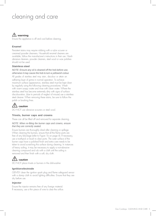## <span id="page-4-0"></span>cleaning and care

### $\sqrt{N}$  warning

Ensure the appliance is off and cool before cleaning.

### **Enamel**

Persistent stains may require rubbing with a nylon scourer or creamed powder cleansers. Household enamel cleaners are available, follow the manufacturer's instructions in their use. Harsh abrasive cleaners, powder cleaners, steel wool or wax polishes should not be used.

### **Stainless steel**

### *NOTE: Ensure any oil is cleaned off the hob before use, otherwise it may cause the hob to turn a yellowish colour.*

All grades of stainless steel may stain, discolour or attain an adhering layer of grime in normal operation. To achieve maximum surface appearance, stainless steel must be kept clean by regularly using the following cleaning procedures. Wash with warm soapy water and rinse with clean water. Where the stainless steel has become extremely dirty with signs of surface discolouration, (due to periods of neglect of misuse) use a stainless steel cleaner. When removing these stains, be sure to follow the polish or brushing lines.

### **caution**

DO NOT use abrasive scourers or steel wool.

### **Trivets, burner caps and crowns**

These can all be lifted off and removed for separate cleaning.

#### *NOTE: When re-fitting the burner caps and crowns, ensure that they are correctly seated.*

Ensure burners are thoroughly dried after cleaning or spillage. When cleaning the burners, ensure that all the flame ports are free of any blockage (refer to Figure 1b on page 4). If necessary, use a toothpick or brush to clear ports. The outer surface of the burner caps have a polished finish and extra care needs to be taken to avoid scratching this surface during cleaning. In instances of heavy soiling, it may be necessary to apply a non-abrasive cleaning compound and rub with a cloth until the soiling is removed and then finish with a soft, dry cloth.

### **caution**

DO NOT place trivets or burners in the dishwasher.

### **Ignition electrode**

GENTLY clean the ignition spark plug and flame safeguard sensor with a damp cloth to avoid lighting difficulties. Ensure that they are dry before use.

### **Injector**

Ensure the injector remains free of any foreign material. If necessary, use a thin piece of wire to clear the orifice.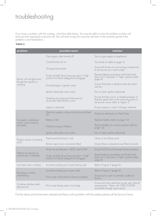## <span id="page-5-0"></span>troubleshooting

If you have a problem with the cooktop, check the table below. You may be able to solve the problem and this will save you from paying for a service call. You will have to pay for a service call even in the warranty period if the problem is one listed below.

### **Table 1**

| problem                                        | possible cause                                                                     | solution                                                                                                                              |
|------------------------------------------------|------------------------------------------------------------------------------------|---------------------------------------------------------------------------------------------------------------------------------------|
|                                                | Gas supply valve turned off                                                        | Turn on gas supply to appliance                                                                                                       |
| Burner will not light even                     | Control knob not on                                                                | Turn knob on (refer to page 3)                                                                                                        |
|                                                | Wrong knob turned                                                                  | Ensure the knob you are turning corresponds<br>to the burner you want to light                                                        |
|                                                | Knob not held down long enough in 'High'<br>position for flame safeguard to engage | Repeat lighting procedure and hold knob<br>down for 5 seconds in 'High' position (refer<br>page 4)                                    |
| though the sparker is<br>working               | Port blockage in ignition area                                                     | Ensure that ports in ignition area are clean<br>and dry                                                                               |
|                                                | Ignition electrode wet or dirty                                                    | Dry or clean ignition electrode                                                                                                       |
|                                                | Sparking at wrong point because of<br>incorrectly fitted burner crown              | Ensure that the crown is seated properly so<br>that the spark fires to the receiving point in<br>the burner crown (refer to Figure 1) |
|                                                | Injector is blocked                                                                | Ensure injector is clear of foreign material                                                                                          |
|                                                | Electricity supply is disconnected or switched<br>off                              | Switch on electricity or check fuses                                                                                                  |
| No spark is obtained                           | Battery is flat                                                                    | Replace battery (refer to page 12)                                                                                                    |
| when control knob is<br>activated              | Polarity wrong on battery                                                          | Reorient battery to correct position (refer to<br>page 12)                                                                            |
|                                                | Ignition electrode wet or dirty                                                    | Dry or clean ignition electrode                                                                                                       |
| Flames uneven or tending                       | Flame ports blocked or wet                                                         | Clean or dry flame ports                                                                                                              |
| to lift                                        | Burner cap/crown incorrectly fitted                                                | Ensure these components are fitted correctly                                                                                          |
|                                                | Knob not set between 'HIGH' and 'LOW'                                              | Knob MUST be set between these positions                                                                                              |
| Flames not staying on<br>when knob is released | Knob not held down long enough in 'High'<br>position for flame safeguard to engage | Repeat lighting procedure and hold knob<br>down for 5 seconds in 'High' position (refer<br>page 4)                                    |
| Low heat, slow cooking                         | Incorrect cooking pot or pan being used                                            | Refer to Figure 3 (page 4)                                                                                                            |
| Benchtop or knobs<br>overheating               | Incorrect cooking pot or pan used                                                  | Refer to Figure 3 (page 4)                                                                                                            |
|                                                | Pot or pan not located on burner properly                                          | Ensure pot or pan is centrally ocated on<br>burner                                                                                    |
| Cooktop stainless steel<br>discoloured         | Pot or pan being used is too large                                                 | Ensure pot sizes used are as per user manual<br>requirements. Clean with STEEL POWER<br>(available through spare parts)               |

If all the above points have been checked and there is still a problem with the cooktop please call the Service Centre.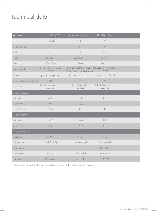## <span id="page-6-0"></span>technical data

| <b>FEATURES</b>             | CHG642SC/WC                         | CHG644SC/WC/DC                                           | CHG954SC/WC                       |  |
|-----------------------------|-------------------------------------|----------------------------------------------------------|-----------------------------------|--|
| <b>Brand</b>                | Chef                                | Chef                                                     | Chef                              |  |
| Cooking zones               | $\overline{4}$                      | $\overline{4}$                                           | 5                                 |  |
| Wok                         | Yes                                 | Yes                                                      | Yes                               |  |
| Ignition                    | 1.5V battery                        | 220-240V                                                 | 220-240V                          |  |
| Trivet                      | Wire Gloss                          | Cast Iron                                                | Cast Iron                         |  |
| Hob material                | Stainless Steel/Enamelled<br>White  | Stainless Steel/Enamelled<br>White/Enamelled gloss black | Stainless Steel/Enamelle<br>White |  |
| Features                    | Ignition through knob               | Ignition through knob                                    | Ignition through knol             |  |
| Flame Failure Safety Device | Yes                                 | Yes                                                      | Yes                               |  |
| Gas Types                   | NG, (LP conversion kit<br>supplied) | NG, (LP conversion  <br>supplied)                        | NG, (LP conversion k<br>supplied) |  |
| Cooktop dimension           |                                     |                                                          |                                   |  |
| Width (mm)                  | 600                                 | 600                                                      | 860                               |  |
| Depth (mm)                  | 535                                 | 535                                                      | 510                               |  |
| Height* (mm)                | 55                                  | 55                                                       | 51                                |  |
| Cutout dimension            |                                     |                                                          |                                   |  |
| Width (mm)                  | 570                                 | 570                                                      | 830                               |  |
| Depth (mm)                  | 490                                 | 490                                                      | 470                               |  |
| Energy rating (NG)          |                                     |                                                          |                                   |  |
| Small burner                | $5.1$ MJ/h                          | 5.1 MJ/h                                                 | 5.1 MJ/h                          |  |
| Medium burner               | $2 \times 9.0$ MJ/h                 | $2 \times 9.0$ MJ/h                                      | $2 \times 9.0$ MJ/h               |  |
| Large burner                |                                     |                                                          | 12.1 MJ/h                         |  |
| Wok burner                  | 14.4 MJ/h                           | 14.4 MJ/h                                                | 14.4 MJ/h                         |  |
| Total MJ/h                  | 37.5 MJ/h                           | 37.5 MJ/h                                                | 49.6 MJ/h                         |  |

\*Height is distance from the top of the kitchen bench to the bottom of the cooktop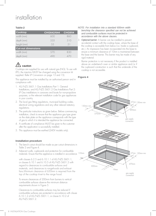## installation

### **Table 2**

| <b>Cooktop</b>            | <b>CHG642/644</b> | <b>CHG954</b> |
|---------------------------|-------------------|---------------|
| width (mm)                | 60()              | 860           |
| depth (mm)                | 535               | 510           |
| height (mm)               | .5.5              | .51           |
| <b>Cut-out dimensions</b> |                   |               |
| width (mm)                | 570               | 830           |
| depth (mm)                |                   |               |

### $\sqrt{2}$  caution

Cooktops are supplied for use with natural gas (NG). To use with LPG, the injectors MUST be changed using the conversion kit supplied. Refer LP Conversion on page 13 and 15).

This appliance must be installed by an authorised person and in compliance with:

- 1. AS/NZS 5601.1 Gas Installations Part 1: General Installations, and AS/NZS 5601.2 Gas Installations Part 2: LP Gas installations in caravans and boats for non-propulsive purposes, or the relevant installation code for gas appliances in your country.
- 2. The local gas fitting regulations, municipal building codes, electrical wiring regulations and any other relevant statutory regulations.
- 3. The particular instructions as given below. Before commencing installation, check to ensure that the appliance gas type given on the data plate on the appliance corresponds with the type of gas to which it is intended the appliance be connected.
- 4. A certificate of compliance MUST be given to the customer after the application is successfully installed.
- 5. This appliance must be earthed (240V models only).

### **Installation procedure**

- 1. The bench cutout should be made as per cutout dimensions in Table 2 and Figure 4.
- 2. Adjacent walls, cupboards and protection for combustible

with clauses 6.2.5 and 6.10.1.1 of AS/NZS 5601.1, or clauses 6.10.1 and 6.10.5 of AS/NZS 5601.2 with regard to clearances to combustible surfaces and materials, and clearances to rangehoods and exhaust fans.Minimum clearance of 650mm is required from the top of the cooktop trivet to the range hood.

To ensure clearances of 200mm from burners to vertical combustible surfaces observe the minimum distance requirements shown in Figure 5.

Clearances to combustible surfaces may be reduced if combustible surfaces are protected in accordance with clause 6.10.1.2 of AS/NZS 5601.1, or clause 6.10.2 of AS/NZS 5601.2.

### *NOTE: For installation into a standard 600mm width benchtop the clearance specified can not be achieved and combustible surfaces must be protected in accordance with the above clauses.*

3. Optional barrier: A barrier can be installed to prevent accidental contact with the cooktop base, where the base of the cooktop is accessible from below (i.e. Inside a cupboard, etc.). An impression has been incorporated into the base to ensure a minimum clearance of 10mm is maintained between the base and the barrier. This barrier may be made of any rigid material.

Barrier protection is not necessary if the product is installed above an underbench oven or similar appliance and/or if the cupboard construction is such that the underside of the cooktop is not accessible.

### **Figure 4**

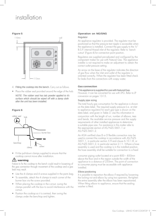## installation

### **Figure 5**



- 4. Fitting the cooktop into the bench. Carry out as follows.
- Place the rubber seal provided around the edge of the hob.

*NOTE: The rubber seal has talc powder applied to it's surface which should be wiped off with a damp cloth after the unit has been installed.*

### **Figure 6**



• Fit the pull-down clamps supplied to ensure that the cooktop cannot move after installation.

### **/!**∖ warning

Failure to fix the cooktop to the bench could result in loosening of the gas connection through movement of the cooktop and a gas leak may result.

- Use the 4 clamps and 4 screws supplied in the parts bag.
- To assemble, attach the 4 clamps to each corner of the burner box via the screw provided.
- When placing the cooktop in the cut-out, swing the clamps parallel with the box to avoid interference with the cut-out.
- Position the cooktop so it is centred, then swing the clamps under the benchtop and tighten.

### **Operation on NG/SNG** Regulator

An appliance regulator is provided. The regulator must be positioned so that the pressure test nipple is accessible when the appliance is installed. Connect the gas supply to the  $\frac{1}{2}$ " B.S.P. internal thread inlet of the regulator. Refer to 'bench cutout' (Figure 4) for connection point position.

Regulators are supplied pre-adjusted and configured by the component maker for use with Natural Gas. The appliance installer is not required to make an adjustment to obtain the correct outlet pressure setting.

An arrow on the base of the regulator indicates the direction of gas flow when the inlet and outlet of the regulator is oriented correctly. When the regulator has been fitted check for leaks from the connections with soapy water.

#### **Gas connection**

#### This appliance is supplied for use with Natural Gas.

However, it can be converted for use with LPG. Refer to LP conversion on pages 13-15.

#### Supply pipe sizing

The total hourly gas consumption for the appliance is shown on the data label. The required supply pressure (i.e. at inlet to appliance regulator) for each gas type is shown on the data label, and given in Table 3. Use this information in conjunction with the length of run, number of elbows, tees and bends, the available service pressure and the supply requirements of other installed appliances to determine a suitable pipe size. For assistance in this matter refer to the appropriate section of AS/NZS 5601.1 or AS/NZS 5601.2.

An AGA certified class B or D flexible connection may be used to connect the cooktop in accordance with AS/NZS 5601.1, in particular section 5.9 and clause 6.10.1.8, or AS/NZS 5601.2, in particular section 2.11. Where a hose assembly is used and the cooktop is in the installed position, the hose assembly shall be suitable for connection to a fixed

consumer piping outlet located at a point 800 – 850mm above the floor and in the region outside the width of the appliance to a distance of 250mm. The point of connection to consumer piping must be accessible with appliance installed.

#### Elbow positioning

It is possible to reposition the elbow if required by loosening the locking nut and elbow by using two spanners. Re-tighten the entire assembly after the elbow has been repositioned. When fitting elbow to appliance, ensure that the sealing washer is fitted.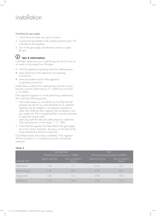## installation

#### Checking the gas supply

- 1. Check the manometer zero point is correct.
- 2. Connect the manometer to the cooktop pressure point. This is located on the regulator.
- 3. Turn on the gas supply and electricity and try to ignite the gas.

### **tips & information**

It will take additional time to light the gas for the first time as air needs to be purged from the pipes.

- 4. With the appliance operating check the outlet pressure:
- when all burners of the appliance are operating at maximum,
- when the smallest burner of the appliance is operating at minimum.

Under these conditions the outlet pressure should not vary from the nominal outlet pressure of 1.00kPa by more than +/–0.20kPa.

If the regulator appears to not be performing satisfactorily, then check the following points.

- 1. If the outlet pressure is consistently too low then the inlet pressure may be too low and adjustment of an upstream regulator may be needed, or an upstream regulator or valve with insufficient flow capacity may be present in the gas supply line. If this is suspected then it may be necessary to repeat the checks whilst measuring both the inlet and outlet pressure to determine if the inlet pressure is in the range 1.13 – 5kPa.
- 2. Check that the regulator has been fitted to the gas supply line in the correct orientation, the arrow on the base of the body indicates the direction of gas flow.

Once these checks have been completed, if the regulator still fails to perform in a satisfactory manner it should be replaced.

### **Table 3**

|                    | NATURAL GAS<br>(Nominal test point pressure: 1.00kPa) |                          | <b>LPG</b><br>(Nominal test point pressure: 2.60kPa) |                           |
|--------------------|-------------------------------------------------------|--------------------------|------------------------------------------------------|---------------------------|
| <b>BURNER TYPE</b> | Injector size (mm)                                    | Gas consumption<br>(M)/h | Injector size (mm)                                   | Gas consumption<br>(MI/h) |
| Small burner       | 1.00                                                  | 5.1                      | 0.55                                                 | 4.0                       |
| Medium burner      | 1.35                                                  | 9.0                      | 0.70                                                 | 6.5                       |
| Large burner       | 1.60                                                  | 12 1                     | 0.90                                                 | 107                       |
| Wok burner         | -75                                                   | 14.4                     | $\left( \begin{array}{c} 0 \end{array} \right)$      | 13.0                      |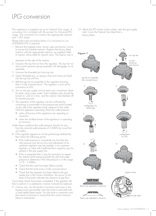## LPG conversion

<span id="page-10-0"></span>This appliance is supplied set up for Natural Gas usage. A conversion kit is included with the product for Universal LPG usage. The conversion kit contains the appropriate injectors and 1 LPG sticker.

Please follow the procedure below if a conversion to suit UNIVERSAL LPG is required:

1. Remove the hotplate trivets, burner caps and burner crowns to access the hotplate injectors. Replace the factory fitted injectors with the appropriate injectors, as supplied. Refer to injector orifice table for injector sizes. The injector size is

stamped on the side of the injector.

- 2. Unscrew the top hat nut from the regulator. The top hat nut and control pressure spring assembly will disengage as an assembly.
- 3. Unscrew the threaded pin from top hat.
- 4. Upturn threaded pin, so spring is free and screw pin back into the top hat until firm.
- 5. Refit the top hat nut assembly to the regulator ensuring that it is fully screwed down. The regulator is now set for connection to LPG.
- 6. Turn on the gas supply and at each new connection check for leaks using soapy water. Each hotplate valve should be turned on, one at a time, and the injector hole blanked off for several seconds.
- 7. The operation of the regulator can be confirmed by connecting a manometer to the pressure test point located on the side of the regulator body adjacent to the outlet. With the appliance operating check the outlet pressure
	- when all burners of the appliance are operating at maximum,
	- when the smallest burner of the appliance is operating at minimum.
- Under these conditions the outlet pressure should not vary from the nominal outlet pressure of 2.60kPa by more than ±0.52kPa.
- 8. If the regulator appears to not be performing satisfactorily then check the following points:
	- If the outlet pressure is consistently too low then the inlet pressure may be too low and adjustment of an upstream regulator may be needed, or an upstream regulator or valve with insufficient flow capacity may be present in the gas supply line.
	- If this is suspected then it may be necessary to repeat the checks whilst measuring both the inlet and outlet pressure to determine if the inlet pressure is in the range 2.75 – 7.00kPa.
	- Check that the insert has been fitted correctly.
	- Check that the turret screw is fully screwed down.
	- Check that the regulator has been fitted to the gas supply line in the correct orientation, the arrow on the base of the body indicates the direction of gas flow.

Once these checks have been completed, if the regulator still fails to perform in a satisfactory manner it should be replaced.

9. One by one, turn the knobs to minimum and screw in the bypass screw (accessible when the knob is removed) until a<sup>'</sup> small stable flame results. Turn the knob to maximum and then back to minimum to ensure that the correct minimum flame is maintained.

10. Attach the LPG sticker to the cooker, near the gas supply inlet. Cover the Natural Gas label that is factory fitted.



fully screwed down<sup>'</sup>

configuration for natural gas

F

flame size adjusted to maximum

 $\overline{u}$ 

**NECESSES** 

flame size adjusted to minimum

E











bypass screw

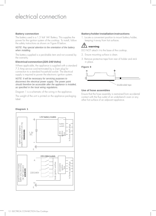### electrical connection

### <span id="page-11-0"></span>**Battery connection**

The battery used is a 1.5 Volt 'AA' Battery. This supplies the power for the ignition system of the cooktop. To install, follow the safety instructions as shown on Figure 8 below.

### *NOTE: Pay special attention to the orientation of the battery when installing.*

The battery supplied is a perishable item and not covered by the warranty.

#### **Electricalconnection (220-240 Volts)**

Where applicable, the appliance is supplied with a standard 7.5 Amp service cord terminated by a 3-pin plug for connection to a standard household socket. The electrical supply is required to power the electronic ignition system.

### *NOTE: It will be necessary for servicing purposes to disconnect the electrical power supply. The power point should therefore be accessible after the appliance is installed, as specified in the local wiring regulations.*

Diagram 1 is a schematic of the wiring in the appliance.

The weight of the unit is printed on the appliance packaging label.

### **Battery holder installation instructions**

1. Locate a convenient position to mount battery holder, keeping it away from hot surfaces.

#### <u>/!`</u> **warning**

DO NOT attach it to the base of the cooktop.

- 2. Ensure mounting surface is clean.
- 3. Remove protective tape from rear of holder and stick in place.

### **Figure 8**



### **Use of hose assembles**

Ensure that the hose assembly is restrained from accidental contact with the flue outlet of an underbench oven or any other hot surface of an adjacent appliance.

#### **Diagram 1**

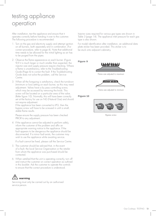## <span id="page-12-0"></span>testing appliance operation

After installation, test the appliance and ensure that it operates correctly before handing it over to the customer. The following procedure is recommended:

- 1. Turn on the gas and electricity supply and attempt ignition on all burners, both separately and in combination. (For correct procedure, refer to page 4). Note that additional time needs to be allowed for the initial lighting as air has to be purged from the pipes.
- 2. Observe the flame appearance on each burner. (Figure 9) If it is much larger or much smaller than expected, the injector size and supply pressure require checking. Where a flame is unsatisfactory, refer to the Troubleshooting Guide (Page 6) to correct the fault. If the Troubleshooting Guide does not solve the problem, call the Service Centre.
- 3. When all the foregoing is satisfactory, check the turndown (minimum or low) setting on each burner, as this may need adjustment. Valves have a by pass controlling screw, which may be accessed by removing the knob. This screw will be located on a particular area of the valve. (Refer figure 10). Normally, this will have been correctly set at the factory for use on NG (Natural Gas) and should not require adjustment.

If the appliance has been converted to LPG, then the bypass screw will have to be screwed in until a small, stable flame results.

Please ensure the supply pressure has been checked PRIOR to any adjustment.

4. If the appliance cannot be adjusted to perform safely, inform the customer of the problem and affix an appropriate warning notice to the appliance. If the fault appears to be dangerous the appliance should be disconnected. If a minor fault exists, the customer may wish to use the appliance while awaiting service.

If a fault cannot be fixed, please call the Service Centre.

- 5. The customer should be advised that, in the event of a fault, the local Service Organisation or the retailer from whom the appliance was purchased should be contacted.
- 6. When satisfied that the unit is operating correctly, turn off and instruct the customer on correct operation as outlined in this booklet. Ask the customer to operate the controls to ensure that the correct procedure is understood.



Servicing must only be carried out by an authorised service person.

Injector sizes required for various gas types are shown in Table 3 (page 14). The appliance inlet pressure for each gas type is also shown.

For model identification after installation, an additional data plate sticker has been provided. This sticker is to be stuck onto adjacent cabinetry.

#### **Figure 9**



Flame size adjusted to maximum



Flame size adjusted to minimum

#### **Figure 10**



Bypass screw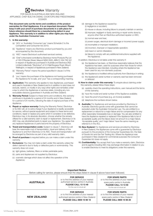### Electrolux Warranty

FOR SALES IN AUSTRALIA AND NEW ZEALAND APPLIANCE: CHEF BUILT-IN OVENS, COOKTOPS AND FREESTANDING **COOKER** 

**This document sets out the terms and conditions of the product warranties for Chef Appliances. It is an important document. Please keep it with your proof of purchase documents in a safe place for future reference should there be a manufacturing defect in your Appliance. This warranty is in addition to other rights you may have under the Australian Consumer Law.**

#### **1. In this warranty:**

- (a) 'ACL' or 'Australian Consumer Law' means Schedule 2 to the Competition and Consumer Act 2010;
- (b) 'Appliance' means any Electrolux product purchased by you and accompanied by this document;
- (c) 'ASC' means Electrolux's authorised serviced centres;
- (d) 'Chef' is the brand controlled by Electrolux Home Products Pty Ltd of 163 O'Riordan Street, Mascot NSW 2020, ABN 51 004 762 341 in respect of Appliances purchased in Australia and Electrolux (NZ) Limited (collectively "Electrolux") of 3-5 Niall Burgess Road, Mount Wellington, in respect of Appliances purchased in New Zealand;
- (e) 'Warranty Period' means the period specified in clause 3 of this warranty;
- (f) 'you' means the purchaser of the Appliance not having purchased the Appliance for re-sale, and 'your' has a corresponding meaning.
- **2. Application:** This warranty only applies to new Appliances, purchased and used in Australia or New Zealand and is in addition to (and does not exclude, restrict, or modify in any way) other rights and remedies under a law to which the Appliances or services relate, including any nonexcludable statutory guarantees in Australia and New Zealand.
- **3. Warranty Period:** Subject to these terms and conditions, this warranty continues in Australia for a period of 24 months and in New Zealand for a period of 24 months, following the date of original purchase of the Appliance.
- **4. Repair or replace warranty:** During the Warranty Period, Electrolux or its ASC will, at no extra charge if your Appliance is readily accessible for service, without special equipment and subject to these terms and conditions, repair or replace any parts which it considers to be defective. Electrolux may, in its absolute discretion, choose whether the remedy offered for a valid warranty claim is repair or replacement. Electrolux or its ASC may use refurbished parts to repair your Appliance. You agree that any replaced Appliances or parts become the property of Electrolux.
- **5. Travel and transportation costs:** Subject to clause 7, Electrolux will bear the reasonable cost of transportation, travel and delivery of the Appliance to and from Electrolux or its ASC. Travel and transportation will be arranged by Electrolux as part of any valid warranty claim.
- **6. Proof of purchas**e is required before you can make a claim under this warranty.
- **7. Exclusions:** You may not make a claim under this warranty unless the defect claimed is due to faulty or defective parts or workmanship. This warranty does not cover:
	- (a) light globes, batteries, filters or similar perishable parts;
	- (b) parts and Appliances not supplied by Electrolux;
	- (c) cosmetic damage which does not affect the operation of the Appliance;
- (d) damage to the Appliance caused by: (i) negligence or accident;
	- (ii) misuse or abuse, including failure to properly maintain or service;
	- (iii) improper, negligent or faulty servicing or repair works done by anyone other than an Electrolux authorised repairer or ASC;
	- (iv) normal wear and tear;
	- (v) power surges, electrical storm damage or incorrect power supply; (vi) incomplete or improper installation;
	- (vii) incorrect, improper or inappropriate operation;
	- (viii) insect or vermin infestation;
	- (ix) failure to comply with any additional instructions supplied with the Appliance;
- In addition, Electrolux is not liable under this warranty if:
	- (a) the Appliance has been, or Electrolux reasonably believes that the Appliance has been, used for purposes other than those for which the Appliance was intended, including where the Appliance has been used for any non-domestic purpose;
	- (b) the Appliance is modified without authority from Electrolux in writing;
	- (c) the Appliance's serial number or warranty seal has been removed or defaced
- **8. How to claim under this warranty:** To enquire about claiming under this warranty, please follow these steps:
	- (a) carefully check the operating instructions, user manual and the terms of this warranty;
	- (b) have the model and serial number of the Appliance available;
	- (c) have the proof of purchase (e.g. an invoice) available;
	- (d) telephone the numbers shown below.
- **9. Australia:** For Appliances and services provided by Electrolux in Australia: Electrolux goods come with guarantees that cannot be excluded under the Australian Consumer Law. You are entitled to a replacement or refund for a major failure and for compensation for any other reasonably foreseeable loss or damage. You are also entitled to have the Appliance repaired or replaced if the Appliance fails to be of acceptable quality and the failure does not amount to a major failure. 'Acceptable quality' and 'major failure' have the same meaning as referred to in the ACL.
- **10. New Zealand:** For Appliances and services provided by Electrolux in New Zealand, the Appliances come with a guarantee by Electrolux pursuant to the provisions of the Consumer Guarantees Act, the Sale of Goods Act and the Fair Trading Act. Where the Appliance was purchased in New Zealand for commercial purposes the Consumer Guarantee Act does not apply.
- **11. Confidentiality:** You accept that if you make a warranty claim, Electrolux and its agents including ASC may exchange information in relation to you to enable Electrolux to meet its obligations under this warranty.

### **Important Notice**

Before calling for service, please ensure that the steps listed in clause 8 above have been followed.

| <b>AUSTRALIA</b>   | <b>FOR SERVICE</b><br>or to find the address of your nearest<br>authorised service centre in Australia<br>PLEASE CALL 13 13 49<br>For the cost of a local call | <b>FOR SPARE PARTS</b><br>or to find the address of your nearest<br>spare parts centre in Australia<br><b>PLEASE CALL 13 13 50</b><br>For the cost of a local call |
|--------------------|----------------------------------------------------------------------------------------------------------------------------------------------------------------|--------------------------------------------------------------------------------------------------------------------------------------------------------------------|
| <b>NEW ZEALAND</b> | <b>FOR SERVICE</b><br>or to find the address of your nearest<br>authorised service centre in New Zealand<br>PLEASE CALL 0800 10 66 10                          | <b>FOR SPARE PARTS</b><br>or to find the address of your nearest<br>spare parts centre in New Zealand<br>PLEASE CALL 0800 10 66 20                                 |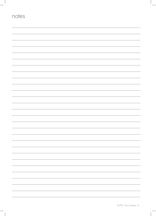| notes |                               |
|-------|-------------------------------|
|       |                               |
|       |                               |
|       |                               |
|       |                               |
|       |                               |
|       |                               |
|       |                               |
|       |                               |
|       |                               |
|       |                               |
|       |                               |
|       |                               |
|       |                               |
|       |                               |
|       |                               |
|       |                               |
|       | $\overline{\phantom{0}}$<br>- |
|       |                               |
|       |                               |